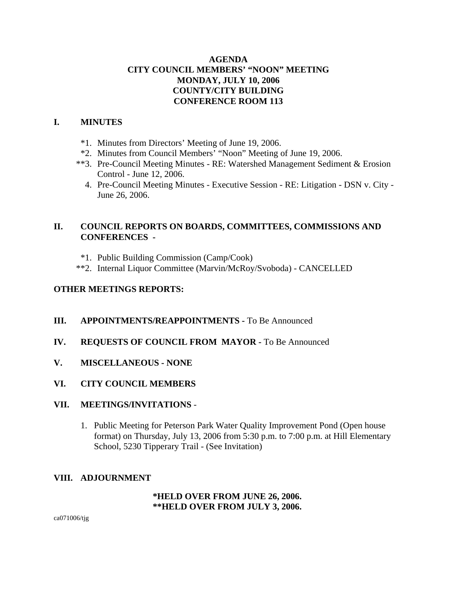# **AGENDA CITY COUNCIL MEMBERS' "NOON" MEETING MONDAY, JULY 10, 2006 COUNTY/CITY BUILDING CONFERENCE ROOM 113**

## **I. MINUTES**

- \*1. Minutes from Directors' Meeting of June 19, 2006.
- \*2. Minutes from Council Members' "Noon" Meeting of June 19, 2006.
- \*\*3. Pre-Council Meeting Minutes RE: Watershed Management Sediment & Erosion Control - June 12, 2006.
	- 4. Pre-Council Meeting Minutes Executive Session RE: Litigation DSN v. City June 26, 2006.

# **II. COUNCIL REPORTS ON BOARDS, COMMITTEES, COMMISSIONS AND CONFERENCES -**

- \*1. Public Building Commission (Camp/Cook)
- \*\*2. Internal Liquor Committee (Marvin/McRoy/Svoboda) CANCELLED

# **OTHER MEETINGS REPORTS:**

- **III.** APPOINTMENTS/REAPPOINTMENTS To Be Announced
- **IV. REQUESTS OF COUNCIL FROM MAYOR -** To Be Announced
- **V. MISCELLANEOUS NONE**
- **VI. CITY COUNCIL MEMBERS**

#### **VII. MEETINGS/INVITATIONS** -

1. Public Meeting for Peterson Park Water Quality Improvement Pond (Open house format) on Thursday, July 13, 2006 from 5:30 p.m. to 7:00 p.m. at Hill Elementary School, 5230 Tipperary Trail - (See Invitation)

# **VIII. ADJOURNMENT**

#### **\*HELD OVER FROM JUNE 26, 2006. \*\*HELD OVER FROM JULY 3, 2006.**

ca071006/tjg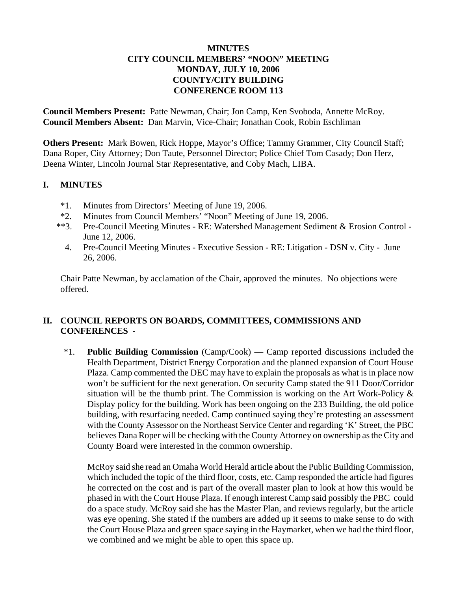## **MINUTES CITY COUNCIL MEMBERS' "NOON" MEETING MONDAY, JULY 10, 2006 COUNTY/CITY BUILDING CONFERENCE ROOM 113**

**Council Members Present:** Patte Newman, Chair; Jon Camp, Ken Svoboda, Annette McRoy. **Council Members Absent:** Dan Marvin, Vice-Chair; Jonathan Cook, Robin Eschliman

**Others Present:** Mark Bowen, Rick Hoppe, Mayor's Office; Tammy Grammer, City Council Staff; Dana Roper, City Attorney; Don Taute, Personnel Director; Police Chief Tom Casady; Don Herz, Deena Winter, Lincoln Journal Star Representative, and Coby Mach, LIBA.

## **I. MINUTES**

- \*1. Minutes from Directors' Meeting of June 19, 2006.
- \*2. Minutes from Council Members' "Noon" Meeting of June 19, 2006.
- \*\*3. Pre-Council Meeting Minutes RE: Watershed Management Sediment & Erosion Control June 12, 2006.
	- 4. Pre-Council Meeting Minutes Executive Session RE: Litigation DSN v. City June 26, 2006.

Chair Patte Newman, by acclamation of the Chair, approved the minutes. No objections were offered.

# **II. COUNCIL REPORTS ON BOARDS, COMMITTEES, COMMISSIONS AND CONFERENCES -**

\*1. **Public Building Commission** (Camp/Cook) — Camp reported discussions included the Health Department, District Energy Corporation and the planned expansion of Court House Plaza. Camp commented the DEC may have to explain the proposals as what is in place now won't be sufficient for the next generation. On security Camp stated the 911 Door/Corridor situation will be the thumb print. The Commission is working on the Art Work-Policy & Display policy for the building. Work has been ongoing on the 233 Building, the old police building, with resurfacing needed. Camp continued saying they're protesting an assessment with the County Assessor on the Northeast Service Center and regarding 'K' Street, the PBC believes Dana Roper will be checking with the County Attorney on ownership as the City and County Board were interested in the common ownership.

McRoy said she read an Omaha World Herald article about the Public Building Commission, which included the topic of the third floor, costs, etc. Camp responded the article had figures he corrected on the cost and is part of the overall master plan to look at how this would be phased in with the Court House Plaza. If enough interest Camp said possibly the PBC could do a space study. McRoy said she has the Master Plan, and reviews regularly, but the article was eye opening. She stated if the numbers are added up it seems to make sense to do with the Court House Plaza and green space saying in the Haymarket, when we had the third floor, we combined and we might be able to open this space up.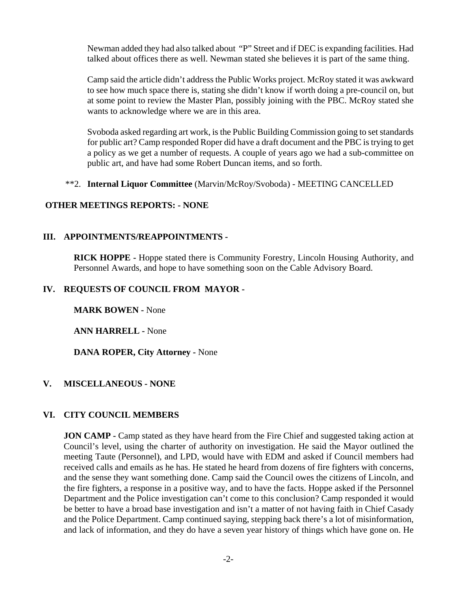Newman added they had also talked about "P" Street and if DEC is expanding facilities. Had talked about offices there as well. Newman stated she believes it is part of the same thing.

Camp said the article didn't address the Public Works project. McRoy stated it was awkward to see how much space there is, stating she didn't know if worth doing a pre-council on, but at some point to review the Master Plan, possibly joining with the PBC. McRoy stated she wants to acknowledge where we are in this area.

Svoboda asked regarding art work, is the Public Building Commission going to set standards for public art? Camp responded Roper did have a draft document and the PBC is trying to get a policy as we get a number of requests. A couple of years ago we had a sub-committee on public art, and have had some Robert Duncan items, and so forth.

## \*\*2. **Internal Liquor Committee** (Marvin/McRoy/Svoboda) - MEETING CANCELLED

## **OTHER MEETINGS REPORTS: - NONE**

## **III. APPOINTMENTS/REAPPOINTMENTS -**

**RICK HOPPE -** Hoppe stated there is Community Forestry, Lincoln Housing Authority, and Personnel Awards, and hope to have something soon on the Cable Advisory Board.

## **IV. REQUESTS OF COUNCIL FROM MAYOR -**

**MARK BOWEN -** None

**ANN HARRELL -** None

**DANA ROPER, City Attorney -** None

#### **V. MISCELLANEOUS - NONE**

#### **VI. CITY COUNCIL MEMBERS**

**JON CAMP** - Camp stated as they have heard from the Fire Chief and suggested taking action at Council's level, using the charter of authority on investigation. He said the Mayor outlined the meeting Taute (Personnel), and LPD, would have with EDM and asked if Council members had received calls and emails as he has. He stated he heard from dozens of fire fighters with concerns, and the sense they want something done. Camp said the Council owes the citizens of Lincoln, and the fire fighters, a response in a positive way, and to have the facts. Hoppe asked if the Personnel Department and the Police investigation can't come to this conclusion? Camp responded it would be better to have a broad base investigation and isn't a matter of not having faith in Chief Casady and the Police Department. Camp continued saying, stepping back there's a lot of misinformation, and lack of information, and they do have a seven year history of things which have gone on. He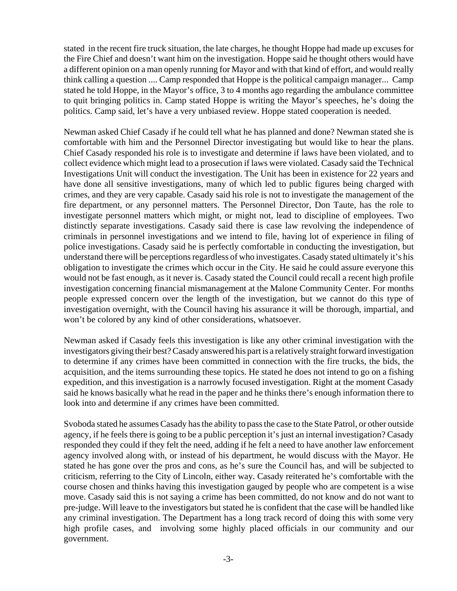stated in the recent fire truck situation, the late charges, he thought Hoppe had made up excuses for the Fire Chief and doesn't want him on the investigation. Hoppe said he thought others would have a different opinion on a man openly running for Mayor and with that kind of effort, and would really think calling a question .... Camp responded that Hoppe is the political campaign manager... Camp stated he told Hoppe, in the Mayor's office, 3 to 4 months ago regarding the ambulance committee to quit bringing politics in. Camp stated Hoppe is writing the Mayor's speeches, he's doing the politics. Camp said, let's have a very unbiased review. Hoppe stated cooperation is needed.

Newman asked Chief Casady if he could tell what he has planned and done? Newman stated she is comfortable with him and the Personnel Director investigating but would like to hear the plans. Chief Casady responded his role is to investigate and determine if laws have been violated, and to collect evidence which might lead to a prosecution if laws were violated. Casady said the Technical Investigations Unit will conduct the investigation. The Unit has been in existence for 22 years and have done all sensitive investigations, many of which led to public figures being charged with crimes, and they are very capable. Casady said his role is not to investigate the management of the fire department, or any personnel matters. The Personnel Director, Don Taute, has the role to investigate personnel matters which might, or might not, lead to discipline of employees. Two distinctly separate investigations. Casady said there is case law revolving the independence of criminals in personnel investigations and we intend to file, having lot of experience in filing of police investigations. Casady said he is perfectly comfortable in conducting the investigation, but understand there will be perceptions regardless of who investigates. Casady stated ultimately it's his obligation to investigate the crimes which occur in the City. He said he could assure everyone this would not be fast enough, as it never is. Casady stated the Council could recall a recent high profile investigation concerning financial mismanagement at the Malone Community Center. For months people expressed concern over the length of the investigation, but we cannot do this type of investigation overnight, with the Council having his assurance it will be thorough, impartial, and won't be colored by any kind of other considerations, whatsoever.

Newman asked if Casady feels this investigation is like any other criminal investigation with the investigators giving their best? Casady answered his part is a relatively straight forward investigation to determine if any crimes have been committed in connection with the fire trucks, the bids, the acquisition, and the items surrounding these topics. He stated he does not intend to go on a fishing expedition, and this investigation is a narrowly focused investigation. Right at the moment Casady said he knows basically what he read in the paper and he thinks there's enough information there to look into and determine if any crimes have been committed.

Svoboda stated he assumes Casady has the ability to pass the case to the State Patrol, or other outside agency, if he feels there is going to be a public perception it's just an internal investigation? Casady responded they could if they felt the need, adding if he felt a need to have another law enforcement agency involved along with, or instead of his department, he would discuss with the Mayor. He stated he has gone over the pros and cons, as he's sure the Council has, and will be subjected to criticism, referring to the City of Lincoln, either way. Casady reiterated he's comfortable with the course chosen and thinks having this investigation gauged by people who are competent is a wise move. Casady said this is not saying a crime has been committed, do not know and do not want to pre-judge. Will leave to the investigators but stated he is confident that the case will be handled like any criminal investigation. The Department has a long track record of doing this with some very high profile cases, and involving some highly placed officials in our community and our government.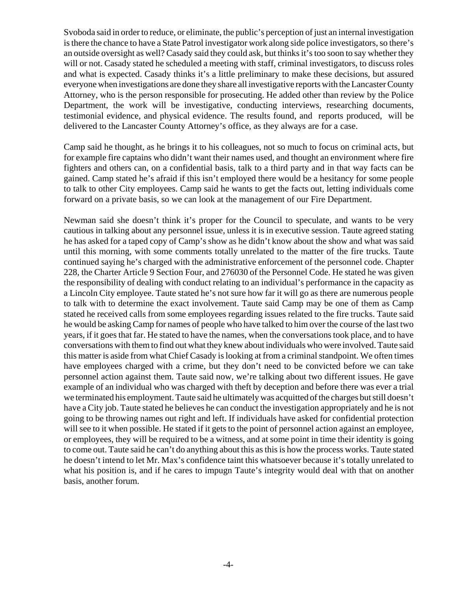Svoboda said in order to reduce, or eliminate, the public's perception of just an internal investigation is there the chance to have a State Patrol investigator work along side police investigators, so there's an outside oversight as well? Casady said they could ask, but thinks it's too soon to say whether they will or not. Casady stated he scheduled a meeting with staff, criminal investigators, to discuss roles and what is expected. Casady thinks it's a little preliminary to make these decisions, but assured everyone when investigations are done they share all investigative reports with the Lancaster County Attorney, who is the person responsible for prosecuting. He added other than review by the Police Department, the work will be investigative, conducting interviews, researching documents, testimonial evidence, and physical evidence. The results found, and reports produced, will be delivered to the Lancaster County Attorney's office, as they always are for a case.

Camp said he thought, as he brings it to his colleagues, not so much to focus on criminal acts, but for example fire captains who didn't want their names used, and thought an environment where fire fighters and others can, on a confidential basis, talk to a third party and in that way facts can be gained. Camp stated he's afraid if this isn't employed there would be a hesitancy for some people to talk to other City employees. Camp said he wants to get the facts out, letting individuals come forward on a private basis, so we can look at the management of our Fire Department.

Newman said she doesn't think it's proper for the Council to speculate, and wants to be very cautious in talking about any personnel issue, unless it is in executive session. Taute agreed stating he has asked for a taped copy of Camp's show as he didn't know about the show and what was said until this morning, with some comments totally unrelated to the matter of the fire trucks. Taute continued saying he's charged with the administrative enforcement of the personnel code. Chapter 228, the Charter Article 9 Section Four, and 276030 of the Personnel Code. He stated he was given the responsibility of dealing with conduct relating to an individual's performance in the capacity as a Lincoln City employee. Taute stated he's not sure how far it will go as there are numerous people to talk with to determine the exact involvement. Taute said Camp may be one of them as Camp stated he received calls from some employees regarding issues related to the fire trucks. Taute said he would be asking Camp for names of people who have talked to him over the course of the last two years, if it goes that far. He stated to have the names, when the conversations took place, and to have conversations with them to find out what they knew about individuals who were involved. Taute said this matter is aside from what Chief Casady is looking at from a criminal standpoint. We often times have employees charged with a crime, but they don't need to be convicted before we can take personnel action against them. Taute said now, we're talking about two different issues. He gave example of an individual who was charged with theft by deception and before there was ever a trial we terminated his employment. Taute said he ultimately was acquitted of the charges but still doesn't have a City job. Taute stated he believes he can conduct the investigation appropriately and he is not going to be throwing names out right and left. If individuals have asked for confidential protection will see to it when possible. He stated if it gets to the point of personnel action against an employee, or employees, they will be required to be a witness, and at some point in time their identity is going to come out. Taute said he can't do anything about this as this is how the process works. Taute stated he doesn't intend to let Mr. Max's confidence taint this whatsoever because it's totally unrelated to what his position is, and if he cares to impugn Taute's integrity would deal with that on another basis, another forum.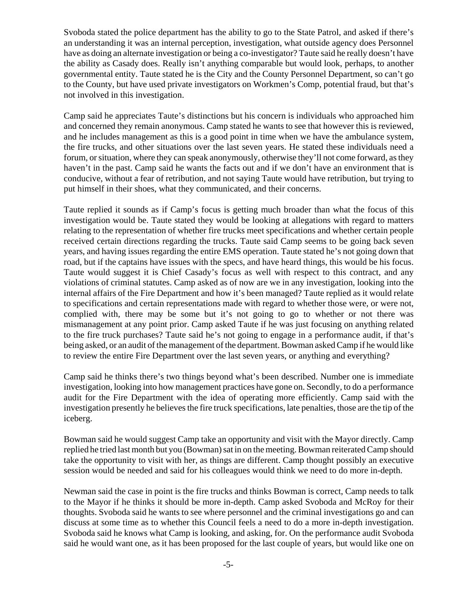Svoboda stated the police department has the ability to go to the State Patrol, and asked if there's an understanding it was an internal perception, investigation, what outside agency does Personnel have as doing an alternate investigation or being a co-investigator? Taute said he really doesn't have the ability as Casady does. Really isn't anything comparable but would look, perhaps, to another governmental entity. Taute stated he is the City and the County Personnel Department, so can't go to the County, but have used private investigators on Workmen's Comp, potential fraud, but that's not involved in this investigation.

Camp said he appreciates Taute's distinctions but his concern is individuals who approached him and concerned they remain anonymous. Camp stated he wants to see that however this is reviewed, and he includes management as this is a good point in time when we have the ambulance system, the fire trucks, and other situations over the last seven years. He stated these individuals need a forum, or situation, where they can speak anonymously, otherwise they'll not come forward, as they haven't in the past. Camp said he wants the facts out and if we don't have an environment that is conducive, without a fear of retribution, and not saying Taute would have retribution, but trying to put himself in their shoes, what they communicated, and their concerns.

Taute replied it sounds as if Camp's focus is getting much broader than what the focus of this investigation would be. Taute stated they would be looking at allegations with regard to matters relating to the representation of whether fire trucks meet specifications and whether certain people received certain directions regarding the trucks. Taute said Camp seems to be going back seven years, and having issues regarding the entire EMS operation. Taute stated he's not going down that road, but if the captains have issues with the specs, and have heard things, this would be his focus. Taute would suggest it is Chief Casady's focus as well with respect to this contract, and any violations of criminal statutes. Camp asked as of now are we in any investigation, looking into the internal affairs of the Fire Department and how it's been managed? Taute replied as it would relate to specifications and certain representations made with regard to whether those were, or were not, complied with, there may be some but it's not going to go to whether or not there was mismanagement at any point prior. Camp asked Taute if he was just focusing on anything related to the fire truck purchases? Taute said he's not going to engage in a performance audit, if that's being asked, or an audit of the management of the department. Bowman asked Camp if he would like to review the entire Fire Department over the last seven years, or anything and everything?

Camp said he thinks there's two things beyond what's been described. Number one is immediate investigation, looking into how management practices have gone on. Secondly, to do a performance audit for the Fire Department with the idea of operating more efficiently. Camp said with the investigation presently he believes the fire truck specifications, late penalties, those are the tip of the iceberg.

Bowman said he would suggest Camp take an opportunity and visit with the Mayor directly. Camp replied he tried last month but you (Bowman) sat in on the meeting. Bowman reiterated Camp should take the opportunity to visit with her, as things are different. Camp thought possibly an executive session would be needed and said for his colleagues would think we need to do more in-depth.

Newman said the case in point is the fire trucks and thinks Bowman is correct, Camp needs to talk to the Mayor if he thinks it should be more in-depth. Camp asked Svoboda and McRoy for their thoughts. Svoboda said he wants to see where personnel and the criminal investigations go and can discuss at some time as to whether this Council feels a need to do a more in-depth investigation. Svoboda said he knows what Camp is looking, and asking, for. On the performance audit Svoboda said he would want one, as it has been proposed for the last couple of years, but would like one on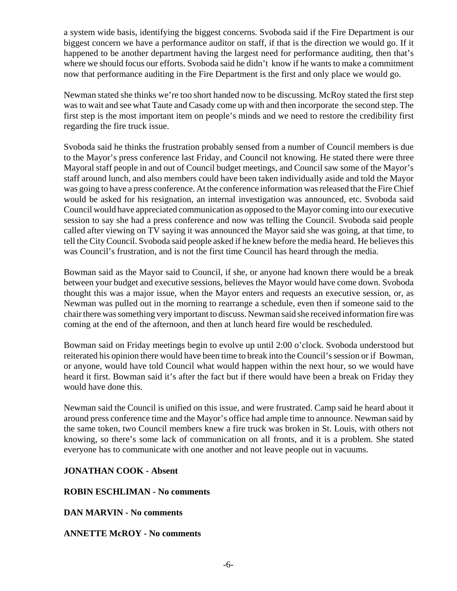a system wide basis, identifying the biggest concerns. Svoboda said if the Fire Department is our biggest concern we have a performance auditor on staff, if that is the direction we would go. If it happened to be another department having the largest need for performance auditing, then that's where we should focus our efforts. Svoboda said he didn't know if he wants to make a commitment now that performance auditing in the Fire Department is the first and only place we would go.

Newman stated she thinks we're too short handed now to be discussing. McRoy stated the first step was to wait and see what Taute and Casady come up with and then incorporate the second step. The first step is the most important item on people's minds and we need to restore the credibility first regarding the fire truck issue.

Svoboda said he thinks the frustration probably sensed from a number of Council members is due to the Mayor's press conference last Friday, and Council not knowing. He stated there were three Mayoral staff people in and out of Council budget meetings, and Council saw some of the Mayor's staff around lunch, and also members could have been taken individually aside and told the Mayor was going to have a press conference. At the conference information was released that the Fire Chief would be asked for his resignation, an internal investigation was announced, etc. Svoboda said Council would have appreciated communication as opposed to the Mayor coming into our executive session to say she had a press conference and now was telling the Council. Svoboda said people called after viewing on TV saying it was announced the Mayor said she was going, at that time, to tell the City Council. Svoboda said people asked if he knew before the media heard. He believes this was Council's frustration, and is not the first time Council has heard through the media.

Bowman said as the Mayor said to Council, if she, or anyone had known there would be a break between your budget and executive sessions, believes the Mayor would have come down. Svoboda thought this was a major issue, when the Mayor enters and requests an executive session, or, as Newman was pulled out in the morning to rearrange a schedule, even then if someone said to the chair there was something very important to discuss. Newman said she received information fire was coming at the end of the afternoon, and then at lunch heard fire would be rescheduled.

Bowman said on Friday meetings begin to evolve up until 2:00 o'clock. Svoboda understood but reiterated his opinion there would have been time to break into the Council's session or if Bowman, or anyone, would have told Council what would happen within the next hour, so we would have heard it first. Bowman said it's after the fact but if there would have been a break on Friday they would have done this.

Newman said the Council is unified on this issue, and were frustrated. Camp said he heard about it around press conference time and the Mayor's office had ample time to announce. Newman said by the same token, two Council members knew a fire truck was broken in St. Louis, with others not knowing, so there's some lack of communication on all fronts, and it is a problem. She stated everyone has to communicate with one another and not leave people out in vacuums.

# **JONATHAN COOK - Absent**

#### **ROBIN ESCHLIMAN - No comments**

**DAN MARVIN - No comments**

# **ANNETTE McROY - No comments**